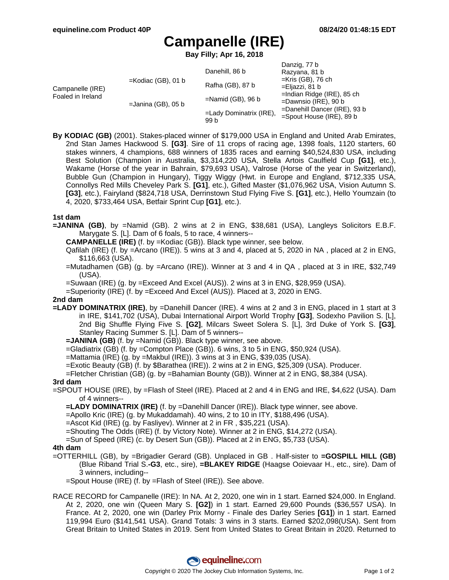# **Campanelle (IRE)**

**Bay Filly; Apr 16, 2018**

|                                       |                       | Danehill, 86 b                     | Danzig, 77 b<br>Razyana, 81 b                                                                                                                                     |
|---------------------------------------|-----------------------|------------------------------------|-------------------------------------------------------------------------------------------------------------------------------------------------------------------|
| Campanelle (IRE)<br>Foaled in Ireland | $=$ Kodiac (GB), 01 b | Rafha (GB), 87 b                   | $=$ Kris (GB), 76 ch<br>=Eljazzi, 81 b<br>$=$ Indian Ridge (IRE), 85 ch<br>$=$ Dawnsio (IRE), 90 b<br>=Danehill Dancer (IRE), 93 b<br>$=$ Spout House (IRE), 89 b |
|                                       | $=$ Janina (GB), 05 b | $=$ Namid (GB), 96 b               |                                                                                                                                                                   |
|                                       |                       | $=$ Lady Dominatrix (IRE),<br>99 b |                                                                                                                                                                   |

**By KODIAC (GB)** (2001). Stakes-placed winner of \$179,000 USA in England and United Arab Emirates, 2nd Stan James Hackwood S. **[G3]**. Sire of 11 crops of racing age, 1398 foals, 1120 starters, 60 stakes winners, 4 champions, 688 winners of 1835 races and earning \$40,524,830 USA, including Best Solution (Champion in Australia, \$3,314,220 USA, Stella Artois Caulfield Cup **[G1]**, etc.), Wakame (Horse of the year in Bahrain, \$79,693 USA), Valrose (Horse of the year in Switzerland), Bubble Gun (Champion in Hungary), Tiggy Wiggy (Hwt. in Europe and England, \$712,335 USA, Connollys Red Mills Cheveley Park S. **[G1]**, etc.), Gifted Master (\$1,076,962 USA, Vision Autumn S. **[G3]**, etc.), Fairyland (\$824,718 USA, Derrinstown Stud Flying Five S. **[G1]**, etc.), Hello Youmzain (to 4, 2020, \$733,464 USA, Betfair Sprint Cup **[G1]**, etc.).

## **1st dam**

- **=JANINA (GB)**, by =Namid (GB). 2 wins at 2 in ENG, \$38,681 (USA), Langleys Solicitors E.B.F. Marygate S. [L]. Dam of 6 foals, 5 to race, 4 winners--
	- **CAMPANELLE (IRE)** (f. by =Kodiac (GB)). Black type winner, see below.
	- Qafilah (IRE) (f. by =Arcano (IRE)). 5 wins at 3 and 4, placed at 5, 2020 in NA , placed at 2 in ENG, \$116,663 (USA).
	- =Mutadhamen (GB) (g. by =Arcano (IRE)). Winner at 3 and 4 in QA , placed at 3 in IRE, \$32,749 (USA).
	- =Suwaan (IRE) (g. by =Exceed And Excel (AUS)). 2 wins at 3 in ENG, \$28,959 (USA).
	- =Superiority (IRE) (f. by =Exceed And Excel (AUS)). Placed at 3, 2020 in ENG.

## **2nd dam**

- **=LADY DOMINATRIX (IRE)**, by =Danehill Dancer (IRE). 4 wins at 2 and 3 in ENG, placed in 1 start at 3 in IRE, \$141,702 (USA), Dubai International Airport World Trophy **[G3]**, Sodexho Pavilion S. [L], 2nd Big Shuffle Flying Five S. **[G2]**, Milcars Sweet Solera S. [L], 3rd Duke of York S. **[G3]**, Stanley Racing Summer S. [L]. Dam of 5 winners--
	- **=JANINA (GB)** (f. by =Namid (GB)). Black type winner, see above.
	- =Gladiatrix (GB) (f. by =Compton Place (GB)). 6 wins, 3 to 5 in ENG, \$50,924 (USA).
	- =Mattamia (IRE) (g. by =Makbul (IRE)). 3 wins at 3 in ENG, \$39,035 (USA).
	- =Exotic Beauty (GB) (f. by \$Barathea (IRE)). 2 wins at 2 in ENG, \$25,309 (USA). Producer.
	- =Fletcher Christian (GB) (g. by =Bahamian Bounty (GB)). Winner at 2 in ENG, \$8,384 (USA).

#### **3rd dam**

- =SPOUT HOUSE (IRE), by =Flash of Steel (IRE). Placed at 2 and 4 in ENG and IRE, \$4,622 (USA). Dam of 4 winners--
	- **=LADY DOMINATRIX (IRE)** (f. by =Danehill Dancer (IRE)). Black type winner, see above.
	- =Apollo Kric (IRE) (g. by Mukaddamah). 40 wins, 2 to 10 in ITY, \$188,496 (USA).
	- =Ascot Kid (IRE) (g. by Fasliyev). Winner at 2 in FR , \$35,221 (USA).
	- =Shouting The Odds (IRE) (f. by Victory Note). Winner at 2 in ENG, \$14,272 (USA).
	- =Sun of Speed (IRE) (c. by Desert Sun (GB)). Placed at 2 in ENG, \$5,733 (USA).

#### **4th dam**

- =OTTERHILL (GB), by =Brigadier Gerard (GB). Unplaced in GB . Half-sister to **=GOSPILL HILL (GB)** (Blue Riband Trial S.**-G3**, etc., sire), **=BLAKEY RIDGE** (Haagse Ooievaar H., etc., sire). Dam of 3 winners, including--
	- =Spout House (IRE) (f. by =Flash of Steel (IRE)). See above.
- RACE RECORD for Campanelle (IRE): In NA. At 2, 2020, one win in 1 start. Earned \$24,000. In England. At 2, 2020, one win (Queen Mary S. **[G2]**) in 1 start. Earned 29,600 Pounds (\$36,557 USA). In France. At 2, 2020, one win (Darley Prix Morny - Finale des Darley Series **[G1]**) in 1 start. Earned 119,994 Euro (\$141,541 USA). Grand Totals: 3 wins in 3 starts. Earned \$202,098(USA). Sent from Great Britain to United States in 2019. Sent from United States to Great Britain in 2020. Returned to